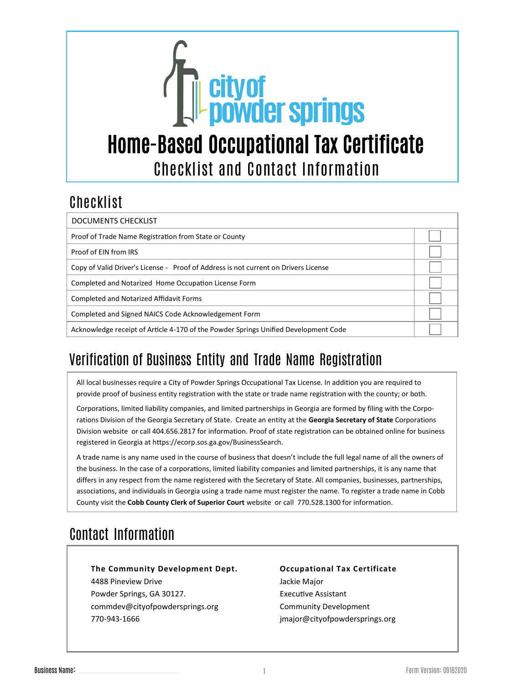

## Checklist

| <b>DOCUMENTS CHECKLIST</b>                                                          |  |
|-------------------------------------------------------------------------------------|--|
| Proof of Trade Name Registration from State or County                               |  |
| Proof of EIN from IRS                                                               |  |
| Copy of Valid Driver's License - Proof of Address is not current on Drivers License |  |
| Completed and Notarized Home Occupation License Form                                |  |
| <b>Completed and Notarized Affidavit Forms</b>                                      |  |
| Completed and Signed NAICS Code Acknowledgement Form                                |  |
| Acknowledge receipt of Article 4-170 of the Powder Springs Unified Development Code |  |

## Verification of Business Entity and Trade Name Registration

All local businesses require a City of Powder Springs Occupational Tax License. In addition you are required to provide proof of business entity registration with the state or trade name registration with the county; or both.

Corporations, limited liability companies, and limited partnerships in Georgia are formed by filing with the Corporations Division of the Georgia Secretary of State. Create an entity at the **Georgia Secretary of State** Corporations Division website or call 404.656.2817 for information. Proof of state registration can be obtained online for business registered in Georgia a[t https://ecorp.sos.ga.gov/BusinessSearch.](https://ecorp.sos.ga.gov/BusinessSearch)

A trade name is any name used in the course of business that doesn't include the full legal name of all the owners of the business. In the case of a corporations, limited liability companies and limited partnerships, it is any name that differs in any respect from the name registered with the Secretary of State. All companies, businesses, partnerships, associations, and individuals in Georgia using a trade name must register the name. To register a trade name in Cobb County visit the **Cobb County Clerk of Su[perior Co](https://www.cobbsuperiorcourtclerk.com/real-estate-information/ucc-trade-names/)urt** website or call 770.528.1300 for information.

## Contact Information

770-943-1666

**The Community Development Dept.** 4488 Pineview Drive Powder Springs, GA 30127. commdev@cityofpowdersprings.org

#### **Occupational Tax Certificate** Jackie Major Executive Assistant Community Development jmajor@cityofpowdersprings.org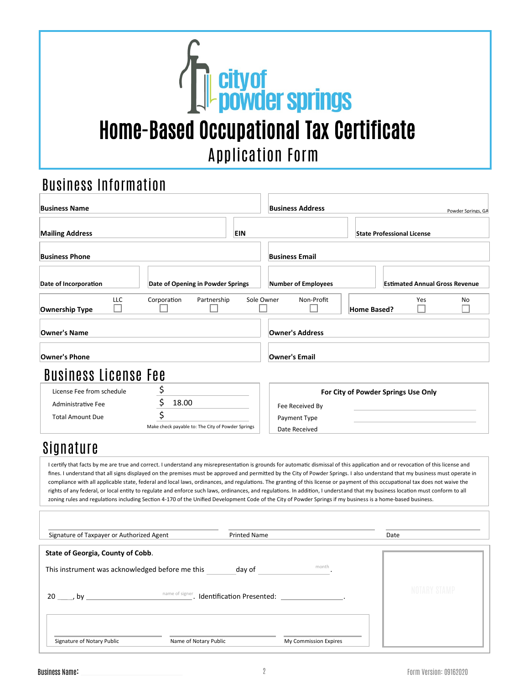

## Business Information

| <b>Business Name</b>                      |                                                                                                                                                                                                                                                                                                                                                                                                                                                                                                                                                                                                                                                                                                                                                                                                                                                                                                      | <b>Business Address</b>    | Powder Springs. GA                    |
|-------------------------------------------|------------------------------------------------------------------------------------------------------------------------------------------------------------------------------------------------------------------------------------------------------------------------------------------------------------------------------------------------------------------------------------------------------------------------------------------------------------------------------------------------------------------------------------------------------------------------------------------------------------------------------------------------------------------------------------------------------------------------------------------------------------------------------------------------------------------------------------------------------------------------------------------------------|----------------------------|---------------------------------------|
| <b>Mailing Address</b>                    | EIN                                                                                                                                                                                                                                                                                                                                                                                                                                                                                                                                                                                                                                                                                                                                                                                                                                                                                                  |                            | <b>State Professional License</b>     |
| <b>Business Phone</b>                     |                                                                                                                                                                                                                                                                                                                                                                                                                                                                                                                                                                                                                                                                                                                                                                                                                                                                                                      | <b>Business Email</b>      |                                       |
| Date of Incorporation                     | Date of Opening in Powder Springs                                                                                                                                                                                                                                                                                                                                                                                                                                                                                                                                                                                                                                                                                                                                                                                                                                                                    | <b>Number of Employees</b> | <b>Estimated Annual Gross Revenue</b> |
| LLC<br><b>Ownership Type</b>              | Corporation<br>Partnership                                                                                                                                                                                                                                                                                                                                                                                                                                                                                                                                                                                                                                                                                                                                                                                                                                                                           | Sole Owner<br>Non-Profit   | Yes<br>No<br><b>Home Based?</b>       |
| Owner's Name                              |                                                                                                                                                                                                                                                                                                                                                                                                                                                                                                                                                                                                                                                                                                                                                                                                                                                                                                      | <b>Owner's Address</b>     |                                       |
| <b>Owner's Phone</b>                      |                                                                                                                                                                                                                                                                                                                                                                                                                                                                                                                                                                                                                                                                                                                                                                                                                                                                                                      | <b>Owner's Email</b>       |                                       |
| <b>Business License Fee</b>               |                                                                                                                                                                                                                                                                                                                                                                                                                                                                                                                                                                                                                                                                                                                                                                                                                                                                                                      |                            |                                       |
| License Fee from schedule                 |                                                                                                                                                                                                                                                                                                                                                                                                                                                                                                                                                                                                                                                                                                                                                                                                                                                                                                      |                            | For City of Powder Springs Use Only   |
| Administrative Fee                        | \$<br>18.00                                                                                                                                                                                                                                                                                                                                                                                                                                                                                                                                                                                                                                                                                                                                                                                                                                                                                          | Fee Received By            |                                       |
| <b>Total Amount Due</b>                   |                                                                                                                                                                                                                                                                                                                                                                                                                                                                                                                                                                                                                                                                                                                                                                                                                                                                                                      | Payment Type               |                                       |
|                                           | Make check payable to: The City of Powder Springs                                                                                                                                                                                                                                                                                                                                                                                                                                                                                                                                                                                                                                                                                                                                                                                                                                                    | Date Received              |                                       |
| Signature                                 |                                                                                                                                                                                                                                                                                                                                                                                                                                                                                                                                                                                                                                                                                                                                                                                                                                                                                                      |                            |                                       |
|                                           | I certify that facts by me are true and correct. I understand any misrepresentation is grounds for automatic dismissal of this application and or revocation of this license and<br>fines. I understand that all signs displayed on the premises must be approved and permitted by the City of Powder Springs. I also understand that my business must operate in<br>compliance with all applicable state, federal and local laws, ordinances, and regulations. The granting of this license or payment of this occupational tax does not waive the<br>rights of any federal, or local entity to regulate and enforce such laws, ordinances, and regulations. In addition, I understand that my business location must conform to all<br>zoning rules and regulations including Section 4-170 of the Unified Development Code of the City of Powder Springs if my business is a home-based business. |                            |                                       |
|                                           |                                                                                                                                                                                                                                                                                                                                                                                                                                                                                                                                                                                                                                                                                                                                                                                                                                                                                                      |                            |                                       |
| Signature of Taxpayer or Authorized Agent | <b>Printed Name</b>                                                                                                                                                                                                                                                                                                                                                                                                                                                                                                                                                                                                                                                                                                                                                                                                                                                                                  |                            | Date                                  |
| <b>State of Georgia, County of Cobb.</b>  |                                                                                                                                                                                                                                                                                                                                                                                                                                                                                                                                                                                                                                                                                                                                                                                                                                                                                                      |                            |                                       |
|                                           |                                                                                                                                                                                                                                                                                                                                                                                                                                                                                                                                                                                                                                                                                                                                                                                                                                                                                                      |                            |                                       |
|                                           |                                                                                                                                                                                                                                                                                                                                                                                                                                                                                                                                                                                                                                                                                                                                                                                                                                                                                                      |                            | NOTARY STAMP                          |
| Signature of Notary Public                | Name of Notary Public                                                                                                                                                                                                                                                                                                                                                                                                                                                                                                                                                                                                                                                                                                                                                                                                                                                                                | My Commission Expires      |                                       |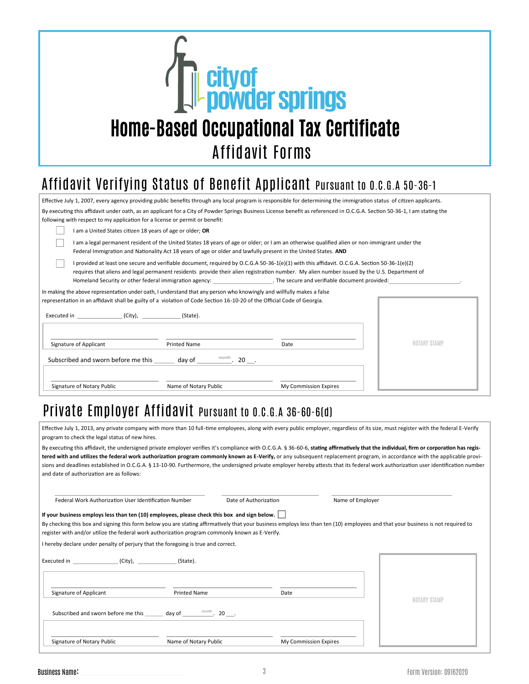

### Affidavit Verifying Status of Benefit Applicant Pursuant to O.C.G.A 50-36-1

| Effective July 1, 2007, every agency providing public benefits through any local program is responsible for determining the immigration status of citizen applicants.                                                                                                                                                                                                                                   |  |  |  |  |
|---------------------------------------------------------------------------------------------------------------------------------------------------------------------------------------------------------------------------------------------------------------------------------------------------------------------------------------------------------------------------------------------------------|--|--|--|--|
| By executing this affidavit under oath, as an applicant for a City of Powder Springs Business License benefit as referenced in O.C.G.A. Section 50-36-1, I am stating the                                                                                                                                                                                                                               |  |  |  |  |
| following with respect to my application for a license or permit or benefit:                                                                                                                                                                                                                                                                                                                            |  |  |  |  |
| I am a United States citizen 18 years of age or older; OR                                                                                                                                                                                                                                                                                                                                               |  |  |  |  |
| I am a legal permanent resident of the United States 18 years of age or older; or I am an otherwise qualified alien or non-immigrant under the<br>Federal Immigration and Nationality Act 18 years of age or older and lawfully present in the United States. AND                                                                                                                                       |  |  |  |  |
| I provided at least one secure and verifiable document, required by O.C.G.A 50-36-1(e)(1) with this affidavit. O.C.G.A. Section 50-36-1(e)(2)<br>requires that aliens and legal permanent residents provide their alien registration number. My alien number issued by the U.S. Department of<br>Homeland Security or other federal immigration agency:<br>The secure and verifiable document provided: |  |  |  |  |
| In making the above representation under oath, I understand that any person who knowingly and willfully makes a false                                                                                                                                                                                                                                                                                   |  |  |  |  |
| representation in an affidavit shall be guilty of a violation of Code Section 16-10-20 of the Official Code of Georgia.                                                                                                                                                                                                                                                                                 |  |  |  |  |
|                                                                                                                                                                                                                                                                                                                                                                                                         |  |  |  |  |
| NOTARY STAMP                                                                                                                                                                                                                                                                                                                                                                                            |  |  |  |  |
| Signature of Applicant<br><b>Printed Name</b><br>Date                                                                                                                                                                                                                                                                                                                                                   |  |  |  |  |
| Subscribed and sworn before me this $\qquad \qquad$ day of $\qquad \qquad$ month. 20 $\qquad$ .                                                                                                                                                                                                                                                                                                         |  |  |  |  |
| Name of Notary Public<br>Signature of Notary Public<br>My Commission Expires                                                                                                                                                                                                                                                                                                                            |  |  |  |  |

#### Private Employer Affidavit Pursuant to O.C.G.A 36-60-6(d)

Effective July 1, 2013, any private company with more than 10 full-time employees, along with every public employer, regardless of its size, must register with the federal E-Verify program to check the legal status of new hires.

By executing this affidavit, the undersigned private employer verifies it's compliance with O.C.G.A. § 36-60-6, **stating affirmatively that the individual, firm or corporation has registered with and utilizes the federal work authorization program commonly known as E-Verify,** or any subsequent replacement program, in accordance with the applicable provisions and deadlines established in O.C.G.A. § 13-10-90. Furthermore, the undersigned private employer hereby attests that its federal work authorization user identification number and date of authorization are as follows:

| Federal Work Authorization User Identification Number                                                                                                                                                                                                                                |                       | Date of Authorization | Name of Employer                                                                                                                                                                 |
|--------------------------------------------------------------------------------------------------------------------------------------------------------------------------------------------------------------------------------------------------------------------------------------|-----------------------|-----------------------|----------------------------------------------------------------------------------------------------------------------------------------------------------------------------------|
| If your business employs less than ten (10) employees, please check this box and sign below.<br>register with and/or utilize the federal work authorization program commonly known as E-Verify.<br>I hereby declare under penalty of perjury that the foregoing is true and correct. |                       |                       | By checking this box and signing this form below you are stating affirmatively that your business employs less than ten (10) employees and that your business is not required to |
| Executed in (City), (State).                                                                                                                                                                                                                                                         |                       |                       |                                                                                                                                                                                  |
| Signature of Applicant                                                                                                                                                                                                                                                               | <b>Printed Name</b>   | Date                  | NOTARY STAMP                                                                                                                                                                     |
|                                                                                                                                                                                                                                                                                      |                       |                       |                                                                                                                                                                                  |
| Signature of Notary Public                                                                                                                                                                                                                                                           | Name of Notary Public | My Commission Expires |                                                                                                                                                                                  |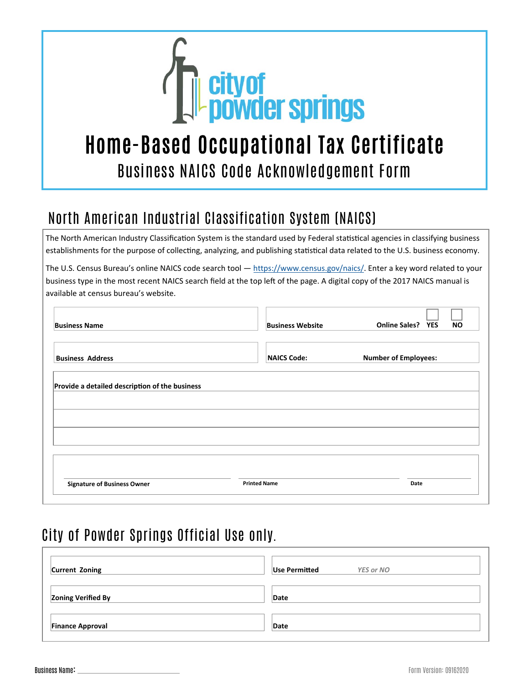

# Home-Based Occupational Tax Certificate Business NAICS Code Acknowledgement Form

## North American Industrial Classification System (NAICS)

The North American Industry Classification System is the standard used by Federal statistical agencies in classifying business establishments for the purpose of collecting, analyzing, and publishing statistical data related to the U.S. business economy.

The U.S. Census Bureau's online NAICS code search tool — https://www.census.gov/naics/. Enter a key word related to your business type in the most recent NAICS search field at the top left of the page. A digital copy of the 2017 NAICS manual is available at census bureau's website.

| <b>Business Name</b>                           | <b>Business Website</b> | <b>Online Sales? YES</b><br><b>NO</b> |
|------------------------------------------------|-------------------------|---------------------------------------|
| <b>Business Address</b>                        | <b>NAICS Code:</b>      | <b>Number of Employees:</b>           |
| Provide a detailed description of the business |                         |                                       |
|                                                |                         |                                       |
|                                                |                         |                                       |
|                                                |                         |                                       |

## City of Powder Springs Official Use only.

| Current Zoning            | Use Permitted<br><b>YES or NO</b> |
|---------------------------|-----------------------------------|
| <b>Zoning Verified By</b> | Date                              |
| <b>Finance Approval</b>   | Date                              |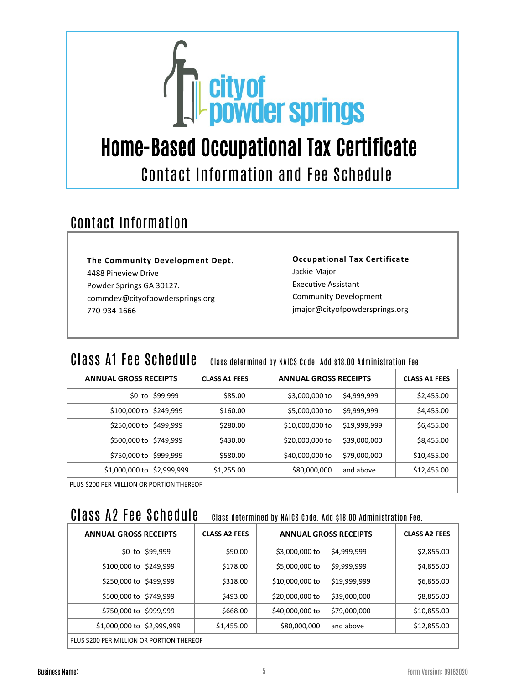

# Home-Based Occupational Tax Certificate Contact Information and Fee Schedule

## Contact Information

**The Community Development Dept.** 4488 Pineview Drive Powder Springs GA 30127. commdev@cityofpowdersprings.org 770-934-1666

#### **Occupational Tax Certificate** Jackie Major Executive Assistant Community Development jmajor@cityofpowdersprings.org

#### CLASS A1 FEE SCHEDULE Class determined by NAICS Code. Add \$18.00 Administration Fee.

| <b>ANNUAL GROSS RECEIPTS</b>              | <b>CLASS A1 FEES</b> | <b>ANNUAL GROSS RECEIPTS</b> |              | <b>CLASS A1 FEES</b> |
|-------------------------------------------|----------------------|------------------------------|--------------|----------------------|
| \$0 to \$99,999                           | \$85.00              | \$3,000,000 to               | \$4,999,999  | \$2,455.00           |
| \$100,000 to \$249,999                    | \$160.00             | \$5,000,000 to               | \$9,999,999  | \$4,455.00           |
| \$250,000 to \$499,999                    | \$280.00             | \$10,000,000 to              | \$19,999,999 | \$6,455.00           |
| \$500,000 to \$749,999                    | \$430.00             | \$20,000,000 to              | \$39,000,000 | \$8,455.00           |
| \$750,000 to \$999,999                    | \$580.00             | \$40,000,000 to              | \$79,000,000 | \$10,455.00          |
| \$1,000,000 to \$2,999,999                | \$1,255.00           | \$80,000,000                 | and above    | \$12,455.00          |
| PLUS \$200 PER MILLION OR PORTION THEREOF |                      |                              |              |                      |

## Class A2 Fee Schedule Class determined by NAICS Code. Add \$18.00 Administration Fee.

| <b>ANNUAL GROSS RECEIPTS</b>              | <b>CLASS A2 FEES</b> | <b>ANNUAL GROSS RECEIPTS</b> |              | <b>CLASS A2 FEES</b> |
|-------------------------------------------|----------------------|------------------------------|--------------|----------------------|
| \$0 to \$99,999                           | \$90.00              | \$3,000,000 to               | \$4,999,999  | \$2,855.00           |
| \$100,000 to \$249,999                    | \$178.00             | \$5,000,000 to               | \$9,999,999  | \$4,855.00           |
| \$250,000 to \$499,999                    | \$318.00             | \$10,000,000 to              | \$19,999,999 | \$6,855.00           |
| \$500,000 to \$749,999                    | \$493.00             | \$20,000,000 to              | \$39,000,000 | \$8,855.00           |
| \$750,000 to \$999,999                    | \$668.00             | \$40,000,000 to              | \$79,000,000 | \$10,855.00          |
| \$1,000,000 to \$2,999,999                | \$1,455.00           | \$80,000,000                 | and above    | \$12,855.00          |
| PLUS \$200 PER MILLION OR PORTION THEREOF |                      |                              |              |                      |